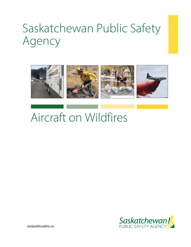# Saskatchewan Public Safety Agency



## Aircraft on Wildfires



*saskpublicsafety.ca*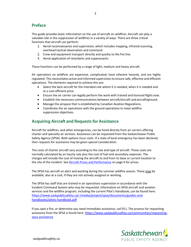#### **Preface**

This guide provides basic information on the use of aircraft on wildfires. Aircraft can play a valuable role in the suppression of wildfires in a variety of ways. There are three critical functions that aircraft can perform:

- 1. Aerial reconnaissance and supervision, which includes mapping, infrared scanning, overhead tactical observation and command.
- 2. Crew and equipment transport directly and quickly to the fire line.
- 3. Aerial application of retardants and suppressants.

These functions can be performed by a range of light, medium and heavy aircraft.

Air operations on wildfires are expensive, complicated, have inherent hazards, and are highly regulated. This necessitates active and informed supervision to ensure safe, effective and efficient operations. The elements required to achieve this are:

- Select the best aircraft for the intended role where it is needed, when it is needed and at a cost-efficient price.
- Ensure the air carrier can legally perform the work with trained and licenced flight crew.
- Establish the necessary communications between aircraft/aircraft and aircraft/ground.
- Manage the airspace that is established by Canadian Aviation Regulations.
- Coordinate the air operations with the ground operations to meet wildfire suppression objectives.

## **Acquiring Aircraft and Requests for Assistance**

Aircraft for wildfires, and other emergencies, can be hired directly from air carriers offering charter and specialty air services. Assistance can be requested from the Saskatchewan Public Safety Agency (SPSA). Both options incur costs. If a state of local emergency has been declared, then requests for assistance may be given special consideration.

The costs of charter aircraft vary according to the size and type of aircraft. These costs are normally calculated by an hourly rate plus the cost of fuel and secondary expenses. The charges will include the cost of moving the aircraft to and from its base or current location to the site of the incident. See [Aircraft Prices and Performance](#page-5-0) on page 6 for prices.

The SPSA has aircraft on alert and working during the summer wildfire season. These may be available, also at a cost, if they are not actively assigned or working.

The SPSA has staff that are trained in air operations supervision in accordance with the Incident Command System who may be requested. Information on SPSA aircraft and aviation services and the wildfire program, including the current Pilot's Handbook, can be found here: [https://www.saskpublicsafety.ca/-/media/project/spsa/documents/guides-and](https://www.saskpublicsafety.ca/-/media/project/spsa/documents/guides-and-handbooks/pilots-handbook.pdf)[handbooks/pilots-handbook.pdf](https://www.saskpublicsafety.ca/-/media/project/spsa/documents/guides-and-handbooks/pilots-handbook.pdf)

If you spot a fire, or determine you need immediate assistance, call 911. The process for requesting assistance from the SPSA is found here[: https://www.saskpublicsafety.ca/communities/requesting](https://www.saskpublicsafety.ca/communities/requesting-spsa-assistance)[spsa-assistance](https://www.saskpublicsafety.ca/communities/requesting-spsa-assistance)

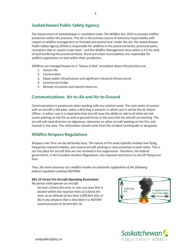## **Saskatchewan Public Safety Agency**

The Government of Saskatchewan is mandated under *The Wildfire Act, 2014* to provide wildfire protection within the province. This *Act* is the primary source of statutory responsibility with respect to wildfire management on forested and prairie land. Under the *Act,* the Saskatchewan Public Safety Agency (SPSA) is responsible for wildfires in the provincial forest, provincial parks, recreation sites or vacant crown land – and the Wildfire Management Area within a 4.5 km strip of land bordering the provincial forest. Rural and urban municipalities are responsible for wildfire suppression on land within their jurisdiction.

Wildfires are managed based on a "Values at Risk" procedure where the priorities are:

- 1. Human life
- 2. Communities
- 3. Major public infrastructure and significant industrial infrastructure
- 4. Commercial timber
- 5. Remote structures and natural resources

#### **Communications: Air-to-Air and Air-to-Ground**

Communications is paramount when working with any aviation asset. The main point of contact with an aircraft is the pilot, unless a Bird Dog is present, in which case it will be the Air Attack Officer. In either case it is imperative that aircraft have the ability to talk to all other aircraft assets working on the fire as well as ground forces in the area that the aircraft are working. The aircraft will need direction on objectives, advisories on other aircraft working on the fire, and hazards in the area. This information should come from the Incident Commander or designate.

#### **Wildfire Airspace Regulations**

Airspace over fires can be extremely busy. The nature of this work typically involves low flying, frequently reduced visibility, and several aircraft working in close proximity to each other. This is not the place for aircraft that are not involved in fire suppression. Therefore, the federal government, in the Canadian Aviation Regulations, has imposed restrictions to aircraft flying over fires.

*Thus, the mere existence of a wildfire invokes an automatic application of the following federal regulation (without NOTAM):*

#### *601.15 Forest Fire Aircraft Operating Restrictions*

*No person shall operate an aircraft:*

*(a) over a forest fire area, or over any area that is located within five nautical miles of a forest fire area, at an altitude of less than 3,000 feet AGL; or (b) in any airspace that is described in a NOTAM issued pursuant to Section 601.16.*



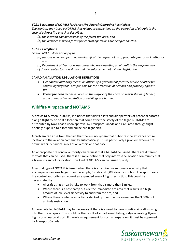#### *601.16 Issuance of NOTAM for Forest Fire Aircraft Operating Restrictions*

*The Minister may issue a NOTAM that relates to restrictions on the operation of aircraft in the case of a forest fire and that describes:*

- *(a) the location and dimensions of the forest fire area; and*
- *(b) the airspace in which forest fire control operations are being conducted.*

#### *601.17 Exceptions*

*Section 601.15 does not apply to:*

- *(a) persons who are operating an aircraft at the request of an appropriate fire control authority; and*
- *(b) Department of Transport personnel who are operating an aircraft in the performance of duties related to surveillance and the enforcement of aviation legislation.*

#### **CANADIAN AVIATION REGULATIONS DEFINITIONS**

- *Fire control authority means an official of a government forestry service or other fire control agency that is responsible for the protection of persons and property against fire.*
- *Forest fire area means an area on the surface of the earth on which standing timber, grass or any other vegetation or buildings are burning.*

#### **Wildfire Airspace and NOTAMS**

A **Notice to Airmen** (**NOTAM**) is a notice that alerts pilots and air operators of potential hazards along a flight route or at a location that could affect the safety of the flight. NOTAMs are distributed by NavCanada upon approval by Transport Canada and circulated through flight briefings supplied to pilots and online pre-flight aids.

A problem can arise from the fact that there is no system that publicizes the existence of fire locations to the aviation community automatically. This is particularly a problem when a fire occurs within 5 nautical miles of an airport or float base.

An appropriate fire control authority can request that a NOTAM be issued. There are different formats that can be used. There is a simple notice that only informs the aviation community that a fire exists and of its location. This kind of NOTAM can be issued quickly.

A second type of NOTAM is issued when there is an active fire suppression activity that encompasses an area larger than the simple, 5-mile and 3,000-foot restriction. The appropriate fire control authority can request an expanded area of flight restriction. This could be necessitated by:

- Aircraft using a nearby lake to work from that is more than 5 miles,
- Where there is a base camp outside the immediate fire area that results in a high amount of low-level air activity to and from the fire, and
- Where there is intense air activity stacked up over the fire exceeding the 3,000-foot altitude restriction.

A more detailed NOTAM may be necessary if there is a need to have non-fire aircraft moving into the fire airspace. This could be the result of an adjacent fishing lodge operating fly-out flights or a nearby airport. If there is a requirement for such an expansion, it must be approved by Transport Canada.

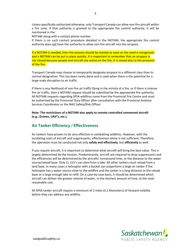Unless specifically authorized otherwise, only Transport Canada can allow non-fire aircraft within a fire zone. If that authority is granted to the appropriate fire control authority, it will be mentioned in the

NOTAM along with a contact phone number.

If there is no such contact procedure detailed in the NOTAM, the appropriate fire control authority does not have the authority to allow non-fire aircraft into the airspace.

If a NOTAM is needed, then the process should be started as soon as the need is recognized, and a NOTAM can be put in place quickly. It is important to remember that an airspace is not closed because people and aircraft are active on the fire, it is closed due to the presence of the fire.

Transport Canada may choose to temporarily designate airspace to a different class than its normal designation. This has been rarely done and is used when there is the potential for a large-scale disruption to air traffic.

If there is any likelihood of non-fire air traffic flying in the vicinity of a fire, or if there is intense fire air traffic, then a NOTAM request should be submitted by the appropriate fire authority. All NOTAM requests regarding SPSA wildfires come from the Provincial Fire Centre and must be authorized by the Provincial Duty Officer after consultation with the Provincial Aviation Services Coordinator or the NAO Safety/Risk Officer.

**Note: The restrictions of a NOTAM also apply to remote controlled unmanned aircraft (e.g., Drones, UAV's, etc.).**

## **Air Tanker Efficiency / Effectiveness**

Air tankers have proven to be very effective in combatting wildfires. However, with the escalating costs of aircraft and suppressants, effectiveness alone is not sufficient. Therefore, the operation must be conducted not only **safely and effectively**, but **efficiently** as well.

If you require aircraft, it is important to determine what aircraft will bring the best value. This is largely determined by the mission. Predominantly, aircraft are required to drop suppressants and the efficiencies will be determined by the aircrafts' turnaround time, or the distance to the water source/reload base. Only CL-215's can skim from a lake. All other tankers must reload from a land base. In many cases a helicopter with a bucket can outperform a large air tanker if the helicopter has a water source close to the wildfire and the tanker is a long distance to the reload base or a large enough lake to refill. On a case-by-case basis, it should be determined which aircraft can deliver the greater volume of water, in the shortest amount of time, at the most reasonable cost.

All SPSA tanker aircraft require a minimum of 2 miles (3.2 kilometers) of forward visibility before they can address any wildfire.

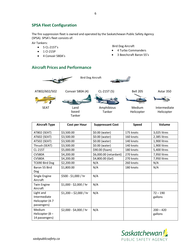#### **SPSA Fleet Configuration**

The fire suppression fleet is owned and operated by the Saskatchewan Public Safety Agency (SPSA). SPSA's fleet consists of:

Air Tankers:

- 5 CL-215T's
- 1 Cl-215P
- 4 Convair 580A's

Bird Dog Aircraft

- 4 Turbo Commanders
- 3 Beechcraft Baron 55's

## <span id="page-5-0"></span>**Aircraft Prices and Performance**





Tanker



Tanker

Medium Helicopter

Intermediate Helicopter

| <b>Aircraft Type</b>                                        | <b>Cost per Hour</b>   | <b>Suppressant Cost</b> | <b>Speed</b> | Volume                 |
|-------------------------------------------------------------|------------------------|-------------------------|--------------|------------------------|
| AT802 (SEAT)                                                | \$3,500.00             | \$0.00 (water)          | 175 knots    | 3,025 litres           |
| AT602 (SEAT)                                                | \$3,500.00             | \$0.00 (water)          | 160 knots    | 2,385 litres           |
| AT502 (SEAT)                                                | \$3,500.00             | \$0.00 (water)          | 140 knots    | 1,900 litres           |
| Thrush (SEAT)                                               | \$3,500.00             | \$0.00 (water)          | 140 knots    | 1,900 litres           |
| CL-215T                                                     | \$5,000.00             | \$90.00 (foam)          | 180 knots    | 5,400 litres           |
| <b>CV580A</b>                                               | \$4,200.00             | \$6,000.00 (retardant)  | 270 knots    | 7,950 litres           |
| <b>CV580A</b>                                               | \$4,200.00             | \$4,800.00 (Gel)        | 270 knots    | 7,950 litres           |
| TC690 Bird Dog                                              | \$2,200.00             | N/A                     | 260 knots    | N/A                    |
| Baron 55 Bird<br><b>Dog</b>                                 | \$1,800.00             | N/A                     | 180 knots    | N/A                    |
| Single Engine<br>Aircraft                                   | \$500 - \$1,000 / hr   | N/A                     |              |                        |
| <b>Twin Engine</b><br>Aircraft                              | \$1,000 - \$2,000 / hr | N/A                     |              |                        |
| Light and<br>Intermediate<br>Helicopter (4-7<br>passengers) | $$1,200 - $2,000 / hr$ | N/A                     |              | $72 - 190$<br>gallons  |
| Medium<br>Helicopter (8-<br>14 passengers)                  | \$2,000 - \$4,000 / hr | N/A                     |              | $200 - 420$<br>gallons |

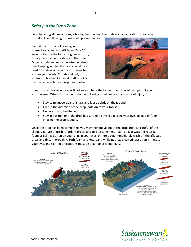## **Safety in the Drop Zone**

Despite taking all precautions, a fire fighter may find themselves in an aircraft drop zone by mistake. The following tips may help prevent injury.

First, if the drop is not coming in **immediately**, and you still have 15 or 20 seconds before the tanker is going to drop, it may be possible to safely exit the zone. Move at right angles to the intended drop line, keeping in mind that you should be at least 35 metres outside the drop zone to ensure your safety. You should only attempt this when tanker aircraft is not on its final approach for a drop (see photo).



In most cases, however, you will not know where the tanker is, or time will not permit you to exit the area. When this happens, do the following to minimize your chance of injury:

- Stay calm, move clear of snags and loose debris on the ground.
- Face in the direction of the drop, **hold on to yourtools!**
- Lie face down, hardhat on.
- Stay in position until the drop has settled, to avoid exposing your eyes to load drift, or inhaling the drop vapours.

Once the drop has been completed, you may then move out of the drop area. Be careful of the slippery nature of fresh retardant drops, and to a lesser extent, foam and/or water. If retardant, foam or gel has gotten on your skin, in your eyes, or into a cut, immediately wash off the affected area, and rinse thoroughly. Both foam and retardant, while not toxic, can still act as an irritant to your eyes and skin, so precautions must be taken to prevent injury.



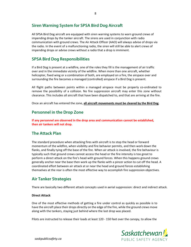## **Siren Warning System for SPSA Bird Dog Aircraft**

All SPSA Bird Dog aircraft are equipped with siren warning systems to warn ground crews of impending drops by the tanker aircraft. The sirens are used in conjunction with radio communication with ground crews. The Air Attack Officer (AAO) will always advise of drops via the radio. In the event of a malfunctioning radio, the siren will still be able to alert crews of impending drops or advise crews without a radio that a drop is imminent.

8

## **SPSA Bird Dog Responsibilities**

If a Bird Dog is present at a wildfire, one of the roles they fill is the management of air traffic over and in the immediate vicinity of the wildfire. When more than one aircraft, whether helicopter, fixed wing or a combination of both, are employed on a fire, the airspace over and surrounding the fire becomes a managed (controlled) airspace if a Bird Dog is present.

All flight paths between points within a managed airspace must be properly co-ordinated to remove the possibility of a collision. No fire suppression aircraft may enter this zone without clearance. This includes all aircraft that have been dispatched to, and that are arriving at the fire.

Once an aircraft has entered the zone, **all aircraft movements must be cleared by the Bird Dog**.

#### **Personnel in the Drop Zone**

**If any personnel are observed in the drop area and communication cannot be established, then air tankers will not drop.**

## **The Attack Plan**

The standard procedure when attacking fires with aircraft is to stop the head or forward momentum of the wildfire, when visibility and fire behavior permits, and then work down the flanks, and finally tying off the base of the fire. When air attack is involved, the fire behaviour is typically such that ground crews cannot access the head or the fire intensity is too great to perform a direct attack on the fire's head with ground forces. When this happens ground crews generally anchor near the base then work up the flanks with a pincer action to cut off the head. A coordinated effort between air attack at or near the head and ground forces establishing themselves at the rear is often the most effective way to accomplish fire suppression objectives.

## **Air Tanker Strategies**

There are basically two different attack concepts used in aerial suppression: direct and indirect attack.

#### **Direct Attack**

One of the most effective methods of getting a fire under control as quickly as possible is to have the aircraft place their drops directly on the edge of the fire, while the ground crews move along with the tankers, staying just behind where the last drop was placed.

Pilots are instructed to release their loads at least 120 - 150 feet over the canopy, to allow the



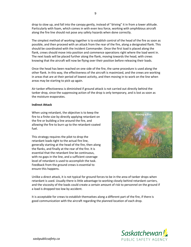drop to slow up, and fall into the canopy gently, instead of "driving" it in from a lower altitude. Particularly with foam, which comes in with even less force, working with amphibious aircraft along the fire line should not pose any safety hazards when done correctly.

The simplest method of working together is to establish control of the head of the fire as soon as possible, and then proceed with an attack from the rear of the fire, along a designated flank. This should be coordinated with the Incident Commander. Once the first load is placed along the flank, crews should move into position and commence operations right where the load went in. The next loads will be placed further along the flank, moving towards the head, with crews knowing that the aircraft will now be flying over their position before releasing their loads.

Once the head has been reached on one side of the fire, the same procedure is used along the other flank. In this way, the effectiveness of the aircraft is maximized, and the crews are working in areas that are at their period of lowest activity, and then moving in to work on the line when areas may be starting to pick up again.

Air tanker effectiveness is diminished if ground attack is not carried out directly behind the tanker drop, since the suppressing action of the drop is only temporary, and is lost as soon as the moisture evaporates.

#### **Indirect Attack**

When using retardant, the objective is to keep the fire to a finite size by directly applying retardant on the fire or building a line around the fire, and allowing the fire to burn up to the retardant-coated fuel.

This strategy requires the pilot to drop the retardant loads tight to the actual fire line, generally starting at the head of the fire, then along the flanks, and finally at the rear of the fire. It is essential that the retardant line be continuous, with no gaps in the line, and a sufficient coverage level of retardant is used to accomplish the task. Feedback from the ground crews is essential to ensure this happens.



Unlike a direct attack, it is not typical for ground forces to be in the area of tanker drops when retardant is used. Usually there is little advantage to working closely behind retardant carriers, and the viscosity of the loads could create a certain amount of risk to personnel on the ground if a load is dropped too low by accident.

It is acceptable for crews to establish themselves along a different part of the fire, if there is good communication with the aircraft regarding the planned location of each drop.

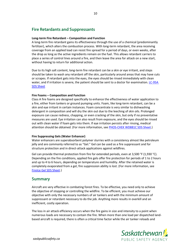## **Fire Retardants and Suppressants**

#### **Long-term Fire Retardant – Composition and Function**

A long-term fire retardant gains its effectiveness through the use of a chemical (predominantly fertilizer), which alters the combustion process. With long-term retardant, the area receiving coverage from an applied load can resist fire spread for a period of days, or even weeks, after the drop as long as the active ingredients remain on the fuel. This allows retardant carriers to place a series of control lines around a fire, and then leave the area for attack on a new start, without having to return for additional action.

Due to its high salt content, long-term fire retardant can be a skin or eye irritant, and steps should be taken to wash any retardant off the skin, particularly around areas that may have cuts or scrapes. If retardant gets into the eyes, the eyes should be rinsed immediately with clean water, and if irritation is severe, the patient should be sent to a doctor for examination. LC-95A [SDS Sheet](https://385xpfxe1e13almu7u8sj31b-wpengine.netdna-ssl.com/wp-content/uploads/2020/01/SDS_PC_LC95A-LC95A-MV-Retardant-OSHA-WHMIS-GHS_2019-08-01_EN.pdf)

#### **Fire Foams – Composition and Function**

Class A fire foams are designed specifically to enhance the effectiveness of water application to a fire, either from tankers or ground pumping units. Foam, like long-term retardant, can be a skin and eye irritant in certain instances. Foam concentrate is very similar to dishwashing detergent in composition and will dry the skin out due to the leeching of skin oils. Prolonged exposure can cause redness, chapping, or even cracking of the skin, but only if no preventative measures are used. Eye irritation can also result from exposure, and the eyes should be rinsed out with clean water if foam gets into them. If eye irritation persists after rinsing, medical attention should be obtained. (For more information, see [PHOS-CHEK WD881C SDS Sheet.](https://385xpfxe1e13almu7u8sj31b-wpengine.netdna-ssl.com/wp-content/uploads/2018/04/AST10110.340-EN-Phos-Chek-WD881C-Class-A-Foam-Conc.pdf))

#### **Fire Suppressing Gels (Water Enhancer)**

Water enhancers are [superabsorbent polymer](https://en.wikipedia.org/wiki/Superabsorbent_polymer) [slurries w](https://en.wikipedia.org/wiki/Slurry)ith a consistency almost like petroleum jelly and are commonly referred to as "Gel." Gel can be used as a fire suppressant and for structure protection and in direct-attack applications against [wildfires.](https://en.wikipedia.org/wiki/Wildfire)

Gel can provide thermal protection from fire for extended periods, even at 3,500 °F (1,930 °C). Depending on the fire conditions, applied fire gels offer fire protection for periods of 1 to 2 hours and up to 4 to 6 hours, depending on temperature and humidity. After the retained water is completely evaporated from a gel, fire suppression ability is lost. (For more information, see [FireIce Gel SDS Sheet.](http://www.fireicesolutions.com/wp-content/uploads/2016/05/FireIce-Gel-SDS-US-1-28-16-1.pdf))

#### **Summary**

Aircraft are very effective in combating forest fires. To be effective, you need only to achieve the objective of stopping or controlling the wildfire. To be efficient, you must achieve our objective with only the necessary numbers of air tankers and with the minimum amount of suppressant or retardant necessary to do the job. Anything more results in overkill and an inefficient, costly operation.

The loss in air attack efficiency occurs when the fire gains in size and intensity to a point when numerous loads are necessary to contain the fire. When more than one load per dispatched landbased aircraft is required, there is often a critical time factor while the air tanker reloads and